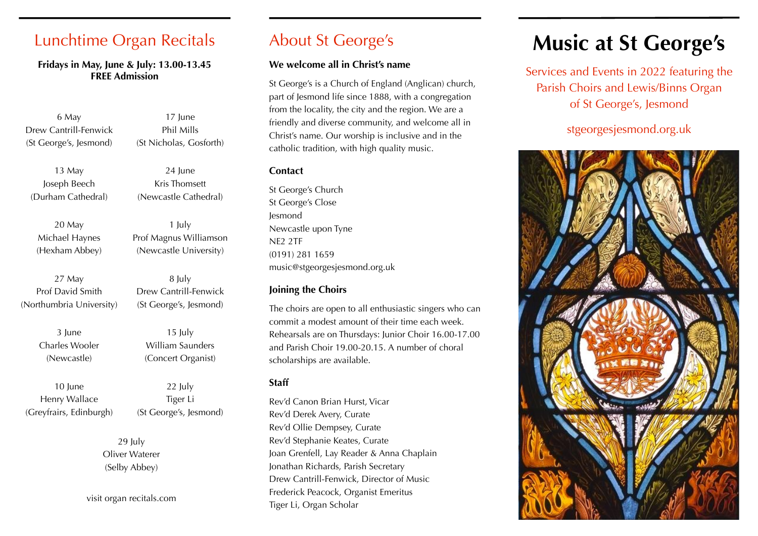## Lunchtime Organ Recitals

#### **Fridays in May, June & July: 13.00-13.45 FREE Admission**

6 May Drew Cantrill-Fenwick (St George's, Jesmond)

17 June Phil Mills (St Nicholas, Gosforth)

24 June

1 July Prof Magnus Williamson (Newcastle University)

13 May Joseph Beech (Durham Cathedral)

Kris Thomsett (Newcastle Cathedral)

20 May Michael Haynes (Hexham Abbey)

27 May Prof David Smith (Northumbria University)

> 3 June Charles Wooler (Newcastle)

10 June Henry Wallace (Greyfrairs, Edinburgh) (St George's, Jesmond) 15 July William Saunders

8 July Drew Cantrill-Fenwick

(Concert Organist)

22 July Tiger Li (St George's, Jesmond)

29 July Oliver Waterer (Selby Abbey)

visit organ recitals.com

## About St George's

#### **We welcome all in Christ's name**

St George's is a Church of England (Anglican) church, part of Jesmond life since 1888, with a congregation from the locality, the city and the region. We are a friendly and diverse community, and welcome all in Christ's name. Our worship is inclusive and in the catholic tradition, with high quality music.

#### **Contact**

St George's Church St George's Close Jesmond Newcastle upon Tyne NE2 2TF (0191) 281 1659 music@stgeorgesjesmond.org.uk

#### **Joining the Choirs**

The choirs are open to all enthusiastic singers who can commit a modest amount of their time each week. Rehearsals are on Thursdays: Junior Choir 16.00-17.00 and Parish Choir 19.00-20.15. A number of choral scholarships are available.

#### **Staff**

Rev'd Canon Brian Hurst, Vicar Rev'd Derek Avery, Curate Rev'd Ollie Dempsey, Curate Rev'd Stephanie Keates, Curate Joan Grenfell, Lay Reader & Anna Chaplain Jonathan Richards, Parish Secretary Drew Cantrill-Fenwick, Director of Music Frederick Peacock, Organist Emeritus Tiger Li, Organ Scholar

# **Music at St George's**

Services and Events in 2022 featuring the Parish Choirs and Lewis/Binns Organ of St George's, Jesmond

### stgeorgesjesmond.org.uk